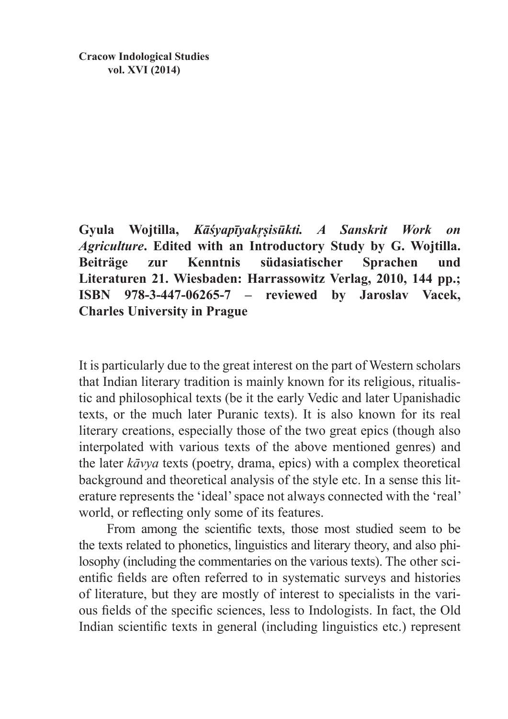**Cracow Indological Studies vol. XVI (2014)**

**Gyula Wojtilla,** *Kāśyapīyakr̥ṣisūkti. A Sanskrit Work on Agriculture***. Edited with an Introductory Study by G. Wojtilla. Beiträge zur Kenntnis südasiatischer Sprachen und Literaturen 21. Wiesbaden: Harrassowitz Verlag, 2010, 144 pp.; ISBN 978-3-447-06265-7 – reviewed by Jaroslav Vacek, Charles University in Prague**

It is particularly due to the great interest on the part of Western scholars that Indian literary tradition is mainly known for its religious, ritualistic and philosophical texts (be it the early Vedic and later Upanishadic texts, or the much later Puranic texts). It is also known for its real literary creations, especially those of the two great epics (though also interpolated with various texts of the above mentioned genres) and the later *kāvya* texts (poetry, drama, epics) with a complex theoretical background and theoretical analysis of the style etc. In a sense this literature represents the 'ideal' space not always connected with the 'real' world, or reflecting only some of its features.

From among the scientific texts, those most studied seem to be the texts related to phonetics, linguistics and literary theory, and also philosophy (including the commentaries on the various texts). The other scientific fields are often referred to in systematic surveys and histories of literature, but they are mostly of interest to specialists in the various fields of the specific sciences, less to Indologists. In fact, the Old Indian scientific texts in general (including linguistics etc.) represent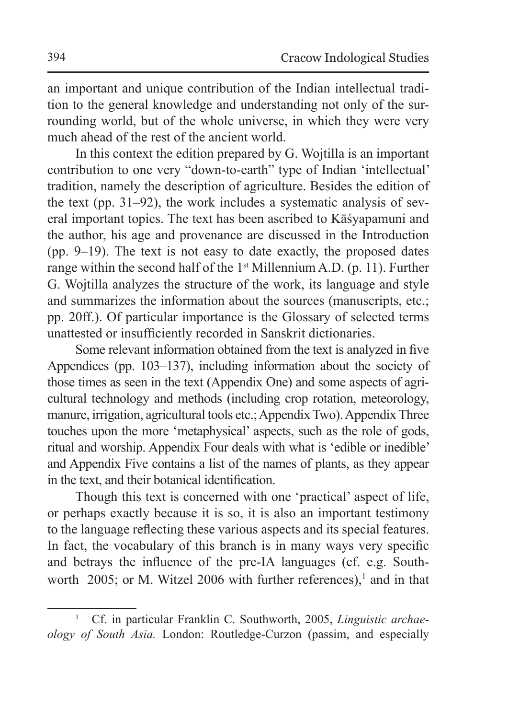an important and unique contribution of the Indian intellectual tradition to the general knowledge and understanding not only of the surrounding world, but of the whole universe, in which they were very much ahead of the rest of the ancient world.

In this context the edition prepared by G. Wojtilla is an important contribution to one very "down-to-earth" type of Indian 'intellectual' tradition, namely the description of agriculture. Besides the edition of the text (pp. 31–92), the work includes a systematic analysis of several important topics. The text has been ascribed to Kāśyapamuni and the author, his age and provenance are discussed in the Introduction (pp. 9–19). The text is not easy to date exactly, the proposed dates range within the second half of the  $1<sup>st</sup>$  Millennium A.D. (p. 11). Further G. Wojtilla analyzes the structure of the work, its language and style and summarizes the information about the sources (manuscripts, etc.; pp. 20ff.). Of particular importance is the Glossary of selected terms unattested or insufficiently recorded in Sanskrit dictionaries.

Some relevant information obtained from the text is analyzed in five Appendices (pp. 103–137), including information about the society of those times as seen in the text (Appendix One) and some aspects of agricultural technology and methods (including crop rotation, meteorology, manure, irrigation, agricultural tools etc.; AppendixTwo). Appendix Three touches upon the more 'metaphysical' aspects, such as the role of gods, ritual and worship. Appendix Four deals with what is 'edible or inedible' and Appendix Five contains a list of the names of plants, as they appear in the text, and their botanical identification.

Though this text is concerned with one 'practical' aspect of life, or perhaps exactly because it is so, it is also an important testimony to the language reflecting these various aspects and its special features. In fact, the vocabulary of this branch is in many ways very specific and betrays the influence of the pre-IA languages (cf. e.g. Southworth  $2005$ ; or M. Witzel 2006 with further references),<sup>1</sup> and in that

<sup>1</sup> Cf. in particular Franklin C. Southworth, 2005, *Linguistic archaeology of South Asia.* London: Routledge-Curzon (passim, and especially